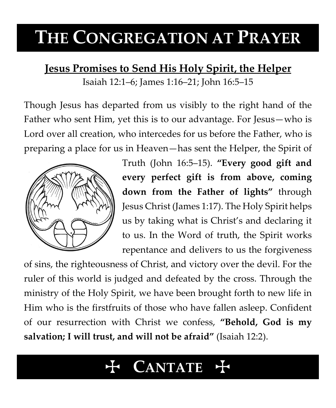# **THE CONGREGATION AT PRAYER**

# **Jesus Promises to Send His Holy Spirit, the Helper**

Isaiah 12:1–6; James 1:16–21; John 16:5–15

Though Jesus has departed from us visibly to the right hand of the Father who sent Him, yet this is to our advantage. For Jesus—who is Lord over all creation, who intercedes for us before the Father, who is preparing a place for us in Heaven—has sent the Helper, the Spirit of



Truth (John 16:5–15). **"Every good gift and every perfect gift is from above, coming down from the Father of lights"** through Jesus Christ (James 1:17). The Holy Spirit helps us by taking what is Christ's and declaring it to us. In the Word of truth, the Spirit works repentance and delivers to us the forgiveness

of sins, the righteousness of Christ, and victory over the devil. For the ruler of this world is judged and defeated by the cross. Through the ministry of the Holy Spirit, we have been brought forth to new life in Him who is the firstfruits of those who have fallen asleep. Confident of our resurrection with Christ we confess, **"Behold, God is my salvation; I will trust, and will not be afraid"** (Isaiah 12:2).

# $$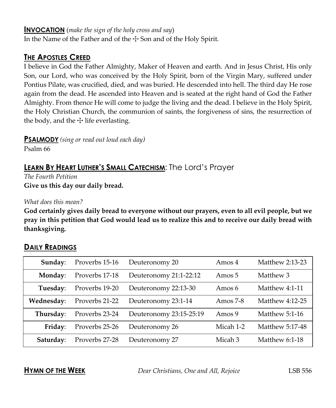#### **INVOCATION** (*make the sign of the holy cross and say*)

In the Name of the Father and of the  $\pm$  Son and of the Holy Spirit.

### **THE APOSTLES CREED**

I believe in God the Father Almighty, Maker of Heaven and earth. And in Jesus Christ, His only Son, our Lord, who was conceived by the Holy Spirit, born of the Virgin Mary, suffered under Pontius Pilate, was crucified, died, and was buried. He descended into hell. The third day He rose again from the dead. He ascended into Heaven and is seated at the right hand of God the Father Almighty. From thence He will come to judge the living and the dead. I believe in the Holy Spirit, the Holy Christian Church, the communion of saints, the forgiveness of sins, the resurrection of the body, and the  $\pm$  life everlasting.

**PSALMODY** *(sing or read out loud each day)*

Psalm 66

# **LEARN BY HEART LUTHER'S SMALL CATECHISM**: The Lord's Prayer

*The Fourth Petition* **Give us this day our daily bread.**

*What does this mean?*

**God certainly gives daily bread to everyone without our prayers, even to all evil people, but we pray in this petition that God would lead us to realize this and to receive our daily bread with thanksgiving.**

| Sunday:    | Proverbs 15-16 | Deuteronomy 20          | Amos 4     | <b>Matthew 2:13-23</b> |
|------------|----------------|-------------------------|------------|------------------------|
| Monday:    | Proverbs 17-18 | Deuteronomy 21:1-22:12  | Amos 5     | Matthew 3              |
| Tuesday:   | Proverbs 19-20 | Deuteronomy 22:13-30    | Amos 6     | Matthew 4:1-11         |
| Wednesday: | Proverbs 21-22 | Deuteronomy 23:1-14     | Amos $7-8$ | Matthew 4:12-25        |
| Thursday:  | Proverbs 23-24 | Deuteronomy 23:15-25:19 | Amos 9     | Matthew 5:1-16         |
| Friday:    | Proverbs 25-26 | Deuteronomy 26          | Micah 1-2  | Matthew 5:17-48        |
| Saturday:  | Proverbs 27-28 | Deuteronomy 27          | Micah 3    | Matthew $6:1-18$       |

## **DAILY READINGS**

**HYMN OF THE WEEK** *Dear Christians, One and All, Rejoice* LSB 556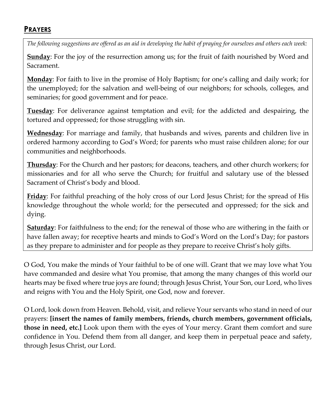### **PRAYERS**

*The following suggestions are offered as an aid in developing the habit of praying for ourselves and others each week:*

**Sunday**: For the joy of the resurrection among us; for the fruit of faith nourished by Word and Sacrament.

**Monday**: For faith to live in the promise of Holy Baptism; for one's calling and daily work; for the unemployed; for the salvation and well-being of our neighbors; for schools, colleges, and seminaries; for good government and for peace.

**Tuesday**: For deliverance against temptation and evil; for the addicted and despairing, the tortured and oppressed; for those struggling with sin.

**Wednesday**: For marriage and family, that husbands and wives, parents and children live in ordered harmony according to God's Word; for parents who must raise children alone; for our communities and neighborhoods.

**Thursday**: For the Church and her pastors; for deacons, teachers, and other church workers; for missionaries and for all who serve the Church; for fruitful and salutary use of the blessed Sacrament of Christ's body and blood.

**Friday**: For faithful preaching of the holy cross of our Lord Jesus Christ; for the spread of His knowledge throughout the whole world; for the persecuted and oppressed; for the sick and dying.

**Saturday**: For faithfulness to the end; for the renewal of those who are withering in the faith or have fallen away; for receptive hearts and minds to God's Word on the Lord's Day; for pastors as they prepare to administer and for people as they prepare to receive Christ's holy gifts.

O God, You make the minds of Your faithful to be of one will. Grant that we may love what You have commanded and desire what You promise, that among the many changes of this world our hearts may be fixed where true joys are found; through Jesus Christ, Your Son, our Lord, who lives and reigns with You and the Holy Spirit, one God, now and forever.

O Lord, look down from Heaven. Behold, visit, and relieve Your servants who stand in need of our prayers: **[insert the names of family members, friends, church members, government officials, those in need, etc.]** Look upon them with the eyes of Your mercy. Grant them comfort and sure confidence in You. Defend them from all danger, and keep them in perpetual peace and safety, through Jesus Christ, our Lord.